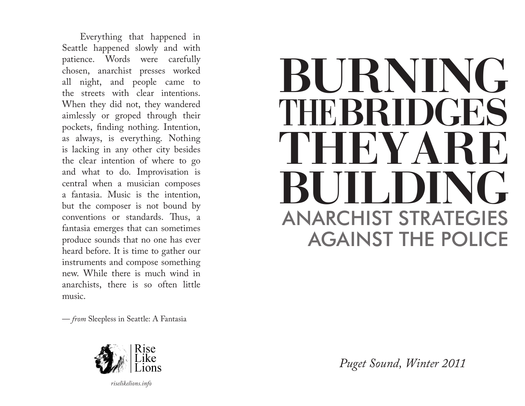Everything that happened in Seattle happened slowly and with patience. Words were carefully chosen, anarchist presses worked all night, and people came to the streets with clear intentions. When they did not, they wandered aimlessly or groped through their pockets, finding nothing. Intention, as always, is everything. Nothing is lacking in any other city besides the clear intention of where to go and what to do. Improvisation is central when a musician composes a fantasia. Music is the intention, but the composer is not bound by conventions or standards. Thus, a fantasia emerges that can sometimes produce sounds that no one has ever heard before. It is time to gather our instruments and compose something new. While there is much wind in anarchists, there is so often little music.

— *from* Sleepless in Seattle: A Fantasia



*riselikelions.info*

# **BURNING THEBRIDGES**  $\mathbf{H}^!\mathbf{V} \mathbf{A}$   $\mathbf{l}$ **BUILDING** ANARCHIST STRATEGIES AGAINST THE POLICE

*Puget Sound, Winter 2011*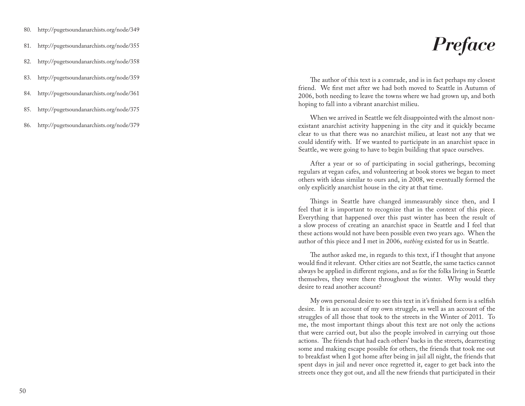- 80. http://pugetsoundanarchists.org/node/349
- 81. http://pugetsoundanarchists.org/node/355
- 82. http://pugetsoundanarchists.org/node/358
- 83. http://pugetsoundanarchists.org/node/359
- 84. http://pugetsoundanarchists.org/node/361
- 85. http://pugetsoundanarchists.org/node/375
- 86. http://pugetsoundanarchists.org/node/379

# *Preface*

The author of this text is a comrade, and is in fact perhaps my closest friend. We first met after we had both moved to Seattle in Autumn of 2006, both needing to leave the towns where we had grown up, and both hoping to fall into a vibrant anarchist milieu.

When we arrived in Seattle we felt disappointed with the almost nonexistant anarchist activity happening in the city and it quickly became clear to us that there was no anarchist milieu, at least not any that we could identify with. If we wanted to participate in an anarchist space in Seattle, we were going to have to begin building that space ourselves.

After a year or so of participating in social gatherings, becoming regulars at vegan cafes, and volunteering at book stores we began to meet others with ideas similar to ours and, in 2008, we eventually formed the only explicitly anarchist house in the city at that time.

Things in Seattle have changed immeasurably since then, and I feel that it is important to recognize that in the context of this piece. Everything that happened over this past winter has been the result of a slow process of creating an anarchist space in Seattle and I feel that these actions would not have been possible even two years ago. When the author of this piece and I met in 2006, *nothing* existed for us in Seattle.

The author asked me, in regards to this text, if I thought that anyone would find it relevant. Other cities are not Seattle, the same tactics cannot always be applied in different regions, and as for the folks living in Seattle themselves, they were there throughout the winter. Why would they desire to read another account?

My own personal desire to see this text in it's finished form is a selfish desire. It is an account of my own struggle, as well as an account of the struggles of all those that took to the streets in the Winter of 2011. To me, the most important things about this text are not only the actions that were carried out, but also the people involved in carrying out those actions. The friends that had each others' backs in the streets, dearresting some and making escape possible for others, the friends that took me out to breakfast when I got home after being in jail all night, the friends that spent days in jail and never once regretted it, eager to get back into the streets once they got out, and all the new friends that participated in their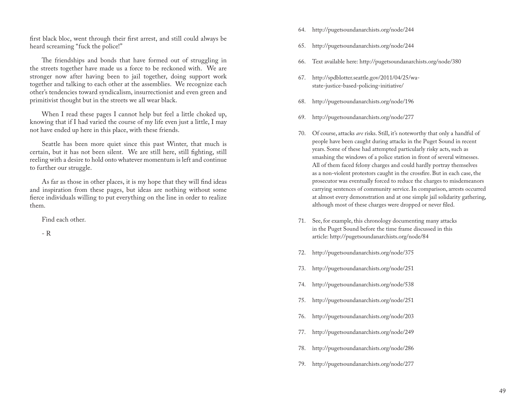first black bloc, went through their first arrest, and still could always be heard screaming "fuck the police!"

The friendships and bonds that have formed out of struggling in the streets together have made us a force to be reckoned with. We are stronger now after having been to jail together, doing support work together and talking to each other at the assemblies. We recognize each other's tendencies toward syndicalism, insurrectionist and even green and primitivist thought but in the streets we all wear black.

When I read these pages I cannot help but feel a little choked up, knowing that if I had varied the course of my life even just a little, I may not have ended up here in this place, with these friends.

Seattle has been more quiet since this past Winter, that much is certain, but it has not been silent. We are still here, still fighting, still reeling with a desire to hold onto whatever momentum is left and continue to further our struggle.

As far as those in other places, it is my hope that they will find ideas and inspiration from these pages, but ideas are nothing without some fierce individuals willing to put everything on the line in order to realize them.

Find each other.

- R

- 64. http://pugetsoundanarchists.org/node/244
- 65. http://pugetsoundanarchists.org/node/244
- 66. Text available here: http://pugetsoundanarchists.org/node/380
- 67. http://spdblotter.seattle.gov/2011/04/25/wastate-justice-based-policing-initiative/
- 68. http://pugetsoundanarchists.org/node/196
- 69. http://pugetsoundanarchists.org/node/277
- 70. Of course, attacks *are* risks. Still, it's noteworthy that only a handful of people have been caught during attacks in the Puget Sound in recent years. Some of these had attempted particularly risky acts, such as smashing the windows of a police station in front of several witnesses. All of them faced felony charges and could hardly portray themselves as a non-violent protestors caught in the crossfire. But in each case, the prosecutor was eventually forced to reduce the charges to misdemeanors carrying sentences of community service. In comparison, arrests occurred at almost every demonstration and at one simple jail solidarity gathering, although most of these charges were dropped or never filed.
- 71. See, for example, this chronology documenting many attacks in the Puget Sound before the time frame discussed in this article: http://pugetsoundanarchists.org/node/84
- 72. http://pugetsoundanarchists.org/node/375
- 73. http://pugetsoundanarchists.org/node/251
- 74. http://pugetsoundanarchists.org/node/538
- 75. http://pugetsoundanarchists.org/node/251
- 76. http://pugetsoundanarchists.org/node/203
- 77. http://pugetsoundanarchists.org/node/249
- 78. http://pugetsoundanarchists.org/node/286
- 79. http://pugetsoundanarchists.org/node/277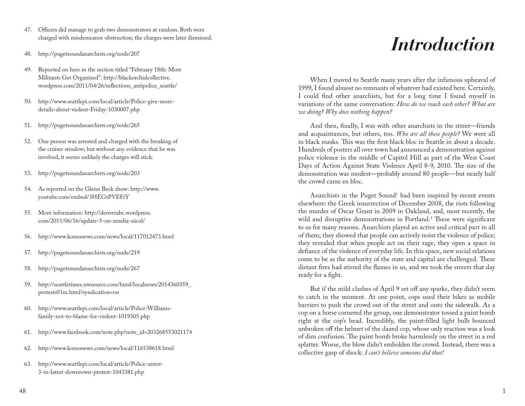- 47. Officers did manage to grab two demonstrators at random. Both were charged with misdemeanor obstruction; the charges were later dismissed.
- 48. http://pugetsoundanarchists.org/node/207
- 49. Reported on here in the section titled "February 18th: More Militants Get Organized": http://blackorchidcollective. wordpress.com/2011/04/26/reflections\_antipolice\_seattle/
- 50. http://www.seattlepi.com/local/article/Police-give-moredetails-about-violent-Friday-1030007.php
- 51. http://pugetsoundanarchists.org/node/265
- 52. One person was arrested and charged with the breaking of the cruiser window; but without any evidence that he was involved, it seems unlikely the charges will stick.
- 53. http://pugetsoundanarchists.org/node/203
- 54. As reported on the Glenn Beck show: http://www. youtube.com/embed/3HEGtPVEFrY
- 55. More information: http://denverabc.wordpress. com/2011/06/16/update-5-on-amelia-nicol/
- 56. http://www.komonews.com/news/local/117012473.html
- 57. http://pugetsoundanarchists.org/node/219
- 58. http://pugetsoundanarchists.org/node/267
- 59. http://seattletimes.nwsource.com/html/localnews/2014360359\_ protests01m.html?syndication=rss
- 60. http://www.seattlepi.com/local/article/Police-Williamsfamily-not-to-blame-for-violent-1019305.php
- 61. http://www.facebook.com/note.php?note\_id=203268553021174
- 62. http://www.komonews.com/news/local/116538618.html
- 63. http://www.seattlepi.com/local/article/Police-arrest-3-in-latest-downtown-protest-1043381.php

## *Introduction*

When I moved to Seattle many years after the infamous upheaval of 1999, I found almost no remnants of whatever had existed here. Certainly, I could find other anarchists, but for a long time I found myself in variations of the same conversation: *How do we reach each other? What are we doing? Why does nothing happen?*

And then, finally, I was with other anarchists in the street—friends and acquaintances, but others, too. *Who are all these people?* We were all in black masks. This was the first black bloc in Seattle in about a decade. Hundreds of posters all over town had announced a demonstration against police violence in the middle of Capitol Hill as part of the West Coast Days of Action Against State Violence April 8-9, 2010. The size of the demonstration was modest—probably around 80 people—but nearly half the crowd came en bloc.

Anarchists in the Puget Sound 1 had been inspired by recent events elsewhere: the Greek insurrection of December 2008, the riots following the murder of Oscar Grant in 2009 in Oakland, and, most recently, the wild and disruptive demonstrations in Portland. 2 These were significant to us for many reasons. Anarchists played an active and critical part in all of them; they showed that people can actively resist the violence of police; they revealed that when people act on their rage, they open a space in defiance of the violence of everyday life. In this space, new social relations come to be as the authority of the state and capital are challenged. These distant fires had stirred the flames in us, and we took the streets that day ready for a fight.

But if the mild clashes of April 9 set off any sparks, they didn't seem to catch in the moment. At one point, cops used their bikes as mobile barriers to push the crowd out of the street and onto the sidewalk. As a cop on a horse cornered the group, one demonstrator tossed a paint bomb right at the cop's head. Incredibly, the paint-filled light bulb bounced unbroken off the helmet of the dazed cop, whose only reaction was a look of dim confusion. The paint bomb broke harmlessly on the street in a red splatter. Worse, the blow didn't embolden the crowd. Instead, there was a collective gasp of shock: *I can't believe someone did that!*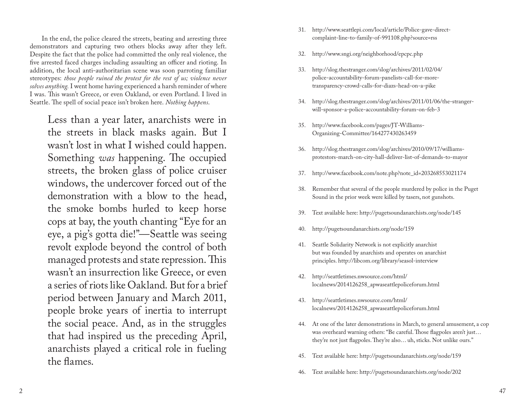In the end, the police cleared the streets, beating and arresting three demonstrators and capturing two others blocks away after they left. Despite the fact that the police had committed the only real violence, the five arrested faced charges including assaulting an officer and rioting. In addition, the local anti-authoritarian scene was soon parroting familiar stereotypes: *those people ruined the protest for the rest of us; violence never solves anything.* I went home having experienced a harsh reminder of where I was. This wasn't Greece, or even Oakland, or even Portland. I lived in Seattle. The spell of social peace isn't broken here. *Nothing happens*.

Less than a year later, anarchists were in the streets in black masks again. But I wasn't lost in what I wished could happen. Something *was* happening. The occupied streets, the broken glass of police cruiser windows, the undercover forced out of the demonstration with a blow to the head, the smoke bombs hurled to keep horse cops at bay, the youth chanting "Eye for an eye, a pig's gotta die!"—Seattle was seeing revolt explode beyond the control of both managed protests and state repression. This wasn't an insurrection like Greece, or even a series of riots like Oakland. But for a brief period between January and March 2011, people broke years of inertia to interrupt the social peace. And, as in the struggles that had inspired us the preceding April, anarchists played a critical role in fueling the flames.

- 31. http://www.seattlepi.com/local/article/Police-gave-directcomplaint-line-to-family-of-991108.php?source=rss
- 32. http://www.sngi.org/neighborhood/epcpc.php
- 33. http://slog.thestranger.com/slog/archives/2011/02/04/ police-accountability-forum-panelists-call-for-moretransparency-crowd-calls-for-diazs-head-on-a-pike
- 34. http://slog.thestranger.com/slog/archives/2011/01/06/the-strangerwill-sponsor-a-police-accountability-forum-on-feb-3
- 35. http://www.facebook.com/pages/JT-Williams-Organizing-Committee/164277430263459
- 36. http://slog.thestranger.com/slog/archives/2010/09/17/williamsprotestors-march-on-city-hall-deliver-list-of-demands-to-mayor
- 37. http://www.facebook.com/note.php?note\_id=203268553021174
- 38. Remember that several of the people murdered by police in the Puget Sound in the prior week were killed by tasers, not gunshots.
- 39. Text available here: http://pugetsoundanarchists.org/node/145
- 40. http://pugetsoundanarchists.org/node/159
- 41. Seattle Solidarity Network is not explicitly anarchist but was founded by anarchists and operates on anarchist principles. http://libcom.org/library/seasol-interview
- 42. http://seattletimes.nwsource.com/html/ localnews/2014126258\_apwaseattlepoliceforum.html
- 43. http://seattletimes.nwsource.com/html/ localnews/2014126258\_apwaseattlepoliceforum.html
- 44. At one of the later demonstrations in March, to general amusement, a cop was overheard warning others: "Be careful. Those flagpoles aren't just… they're not just flagpoles. They're also… uh, sticks. Not unlike ours."
- 45. Text available here: http://pugetsoundanarchists.org/node/159
- 46. Text available here: http://pugetsoundanarchists.org/node/202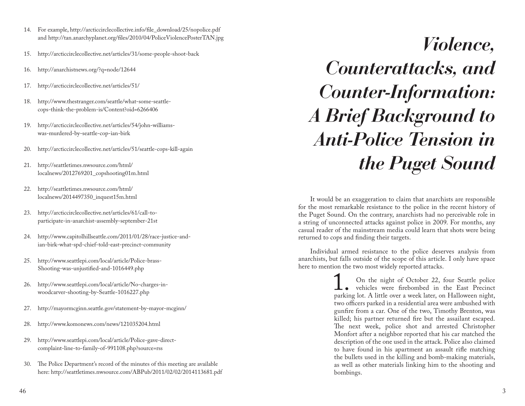- 14. For example, http://arcticcirclecollective.info/file\_download/25/nopolice.pdf and http://tan.anarchyplanet.org/files/2010/04/PoliceViolencePosterTAN.jpg
- 15. http://arcticcirclecollective.net/articles/31/some-people-shoot-back
- 16. http://anarchistnews.org/?q=node/12644
- 17. http://arcticcirclecollective.net/articles/51/
- 18. http://www.thestranger.com/seattle/what-some-seattlecops-think-the-problem-is/Content?oid=6266406
- 19. http://arcticcirclecollective.net/articles/54/john-williamswas-murdered-by-seattle-cop-ian-birk
- 20. http://arcticcirclecollective.net/articles/51/seattle-cops-kill-again
- 21. http://seattletimes.nwsource.com/html/ localnews/2012769201\_copshooting01m.html
- 22. http://seattletimes.nwsource.com/html/ localnews/2014497350\_inquest15m.html
- 23. http://arcticcirclecollective.net/articles/61/call-toparticipate-in-anarchist-assembly-september-21st
- 24. http://www.capitolhillseattle.com/2011/01/28/race-justice-andian-birk-what-spd-chief-told-east-precinct-community
- 25. http://www.seattlepi.com/local/article/Police-brass-Shooting-was-unjustified-and-1016449.php
- 26. http://www.seattlepi.com/local/article/No-charges-inwoodcarver-shooting-by-Seattle-1016227.php
- 27. http://mayormcginn.seattle.gov/statement-by-mayor-mcginn/
- 28. http://www.komonews.com/news/121035204.html
- 29. http://www.seattlepi.com/local/article/Police-gave-directcomplaint-line-to-family-of-991108.php?source=rss
- 30. The Police Department's record of the minutes of this meeting are available here: http://seattletimes.nwsource.com/ABPub/2011/02/02/2014113681.pdf

*Violence, Counterattacks, and Counter-Information: A Brief Background to Anti-Police Tension in the Puget Sound*

It would be an exaggeration to claim that anarchists are responsible for the most remarkable resistance to the police in the recent history of the Puget Sound. On the contrary, anarchists had no perceivable role in a string of unconnected attacks against police in 2009. For months, any casual reader of the mainstream media could learn that shots were being returned to cops and finding their targets.

Individual armed resistance to the police deserves analysis from anarchists, but falls outside of the scope of this article. I only have space here to mention the two most widely reported attacks.

> 1. On the night of October 22, four Seattle police **L**. vehicles were firebombed in the East Precinct parking lot. A little over a week later, on Halloween night, two officers parked in a residential area were ambushed with gunfire from a car. One of the two, Timothy Brenton, was killed; his partner returned fire but the assailant escaped. The next week, police shot and arrested Christopher Monfort after a neighbor reported that his car matched the description of the one used in the attack. Police also claimed to have found in his apartment an assault rifle matching the bullets used in the killing and bomb-making materials, as well as other materials linking him to the shooting and bombings.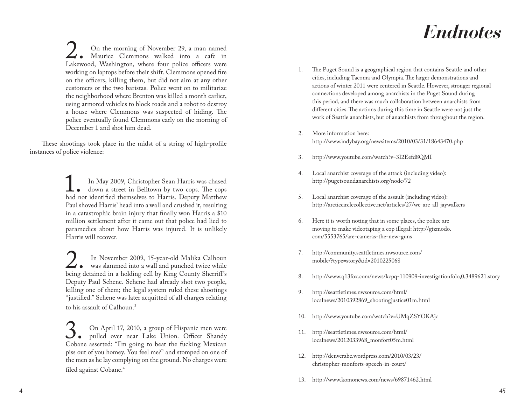### *Endnotes*

2. On the morning of November 29, a man named<br>Lakewood, Washington, where four police officers were Maurice Clemmons walked into a cafe in Lakewood, Washington, where four police officers were working on laptops before their shift. Clemmons opened fire on the officers, killing them, but did not aim at any other customers or the two baristas. Police went on to militarize the neighborhood where Brenton was killed a month earlier, using armored vehicles to block roads and a robot to destroy a house where Clemmons was suspected of hiding. The police eventually found Clemmons early on the morning of December 1 and shot him dead.

These shootings took place in the midst of a string of high-profile instances of police violence:

> In May 2009, Christopher Sean Harris was chased down a street in Belltown by two cops. The cops had not identified themselves to Harris. Deputy Matthew down a street in Belltown by two cops. The cops Paul shoved Harris' head into a wall and crushed it, resulting in a catastrophic brain injury that finally won Harris a \$10 million settlement after it came out that police had lied to paramedics about how Harris was injured. It is unlikely Harris will recover.

> In November 2009, 15-year-old Malika Calhoun<br>was slammed into a wall and punched twice while<br>being detained in a holding cell by King County Sherriff's was slammed into a wall and punched twice while being detained in a holding cell by King County Sherriff's Deputy Paul Schene. Schene had already shot two people, killing one of them; the legal system ruled these shootings "justified." Schene was later acquitted of all charges relating to his assault of Calhoun.3

> **3.** On April 17, 2010, a group of Hispanic men were pulled over near Lake Union. Officer Shandy Cobane asserted: "I'm going to beat the fucking Mexican pulled over near Lake Union. Officer Shandy Cobane asserted: "I'm going to beat the fucking Mexican piss out of you homey. You feel me?" and stomped on one of the men as he lay complying on the ground. No charges were filed against Cobane.4

- 1. The Puget Sound is a geographical region that contains Seattle and other cities, including Tacoma and Olympia. The larger demonstrations and actions of winter 2011 were centered in Seattle. However, stronger regional connections developed among anarchists in the Puget Sound during this period, and there was much collaboration between anarchists from different cities. The actions during this time in Seattle were not just the work of Seattle anarchists, but of anarchists from throughout the region.
- 2. More information here: http://www.indybay.org/newsitems/2010/03/31/18643470.php
- 3. http://www.youtube.com/watch?v=3I2Eefd8QMI
- 4. Local anarchist coverage of the attack (including video): http://pugetsoundanarchists.org/node/72
- 5. Local anarchist coverage of the assault (including video): http://arcticcirclecollective.net/articles/27/we-are-all-jaywalkers
- 6. Here it is worth noting that in some places, the police are moving to make videotaping a cop illegal: http://gizmodo. com/5553765/are-cameras-the-new-guns
- 7. http://community.seattletimes.nwsource.com/ mobile/?type=story&id=2010225068
- 8. http://www.q13fox.com/news/kcpq-110909-investigationfolo,0,3489621.story
- 9. http://seattletimes.nwsource.com/html/ localnews/2010392869\_shootingjustice01m.html
- 10. http://www.youtube.com/watch?v=UMqZSYOKAjc
- 11. http://seattletimes.nwsource.com/html/ localnews/2012033968\_monfort05m.html
- 12. http://denverabc.wordpress.com/2010/03/23/ christopher-monforts-speech-in-court/
- 13. http://www.komonews.com/news/69871462.html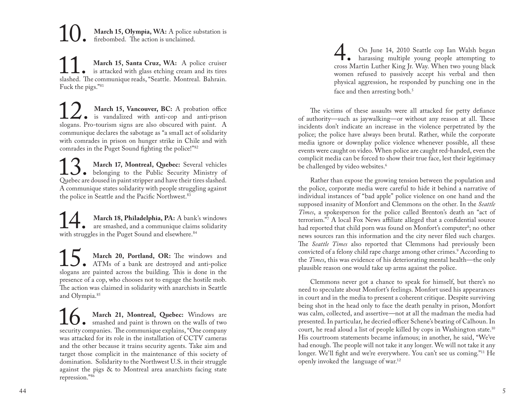March 15, Olympia, WA: A police substation is • firebombed. The action is unclaimed.

**11. March 15, Santa Cruz, WA:** A police cruiser is attacked with glass etching cream and its tires slashed. The communique reads, "Seattle. Montreal. Bahrain. is attacked with glass etching cream and its tires slashed. The communique reads, "Seattle. Montreal. Bahrain. Fuck the pigs."81

**12.** March 15, Vancouver, BC: A probation office is vandalized with anti-cop and anti-prison slogans. Pro-tourism signs are also obscured with paint. A is vandalized with anti-cop and anti-prison slogans. Pro-tourism signs are also obscured with paint. A communique declares the sabotage as "a small act of solidarity with comrades in prison on hunger strike in Chile and with comrades in the Puget Sound fighting the police!"82

**13.** March 17, Montreal, Quebec: Several vehicles<br>Quebec are doused in paint stripper and have their tires slashed. belonging to the Public Security Ministry of Quebec are doused in paint stripper and have their tires slashed. A communique states solidarity with people struggling against the police in Seattle and the Pacific Northwest.<sup>83</sup>

**14. March 18, Philadelphia, PA:** A bank's windows are smashed, and a communique claims solidarity with struggles in the Puget Sound and elsewhere.<sup>84</sup> are smashed, and a communique claims solidarity with struggles in the Puget Sound and elsewhere.<sup>84</sup>

**15.** March 20, Portland, OR: The windows and ATMs of a bank are destroyed and anti-police slogans are painted across the building. This is done in the ATMs of a bank are destroyed and anti-police slogans are painted across the building. This is done in the presence of a cop, who chooses not to engage the hostile mob. The action was claimed in solidarity with anarchists in Seattle and Olympia.85

**16.** March 21, Montreal, Quebec: Windows are smashed and paint is thrown on the walls of two security companies. The communique explains, "One company smashed and paint is thrown on the walls of two security companies. The communique explains, "One company was attacked for its role in the installation of CCTV cameras and the other because it trains security agents. Take aim and target those complicit in the maintenance of this society of domination. Solidarity to the Northwest U.S. in their struggle against the pigs & to Montreal area anarchists facing state repression."86

On June 14, 2010 Seattle cop Ian Walsh began<br>harassing multiple young people attempting to<br>cross Martin Luther King Jr. Way. When two young black harassing multiple young people attempting to cross Martin Luther King Jr. Way. When two young black women refused to passively accept his verbal and then physical aggression, he responded by punching one in the face and then arresting both.<sup>5</sup>

The victims of these assaults were all attacked for petty defiance of authority—such as jaywalking—or without any reason at all. These incidents don't indicate an increase in the violence perpetrated by the police; the police have always been brutal. Rather, while the corporate media ignore or downplay police violence whenever possible, all these events were caught on video. When police are caught red-handed, even the complicit media can be forced to show their true face, lest their legitimacy be challenged by video websites. 6

Rather than expose the growing tension between the population and the police, corporate media were careful to hide it behind a narrative of individual instances of "bad apple" police violence on one hand and the supposed insanity of Monfort and Clemmons on the other. In the *Seattle Times*, a spokesperson for the police called Brenton's death an "act of terrorism." 7 A local Fox News affiliate alleged that a confidential source had reported that child porn was found on Monfort's computer 8 ; no other news sources ran this information and the city never filed such charges. The *Seattle Times* also reported that Clemmons had previously been convicted of a felony child rape charge among other crimes. 9 According to the *Times*, this was evidence of his deteriorating mental health—the only plausible reason one would take up arms against the police.

Clemmons never got a chance to speak for himself, but there's no need to speculate about Monfort's feelings. Monfort used his appearances in court and in the media to present a coherent critique. Despite surviving being shot in the head only to face the death penalty in prison, Monfort was calm, collected, and assertive—not at all the madman the media had presented. In particular, he decried officer Schene's beating of Calhoun. In court, he read aloud a list of people killed by cops in Washington state.<sup>10</sup> His courtroom statements became infamous; in another, he said, "We've had enough. The people will not take it any longer. We will not take it any longer. We'll fight and we're everywhere. You can't see us coming."11 He openly invoked the language of war.12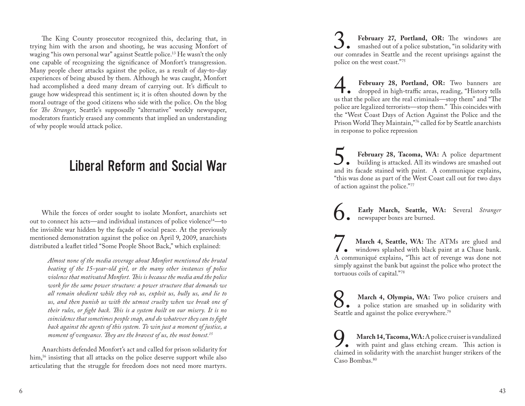The King County prosecutor recognized this, declaring that, in trying him with the arson and shooting, he was accusing Monfort of waging "his own personal war" against Seattle police.13 He wasn't the only one capable of recognizing the significance of Monfort's transgression. Many people cheer attacks against the police, as a result of day-to-day experiences of being abused by them. Although he was caught, Monfort had accomplished a deed many dream of carrying out. It's difficult to gauge how widespread this sentiment is; it is often shouted down by the moral outrage of the good citizens who side with the police. On the blog for *The Stranger*, Seattle's supposedly "alternative" weekly newspaper, moderators franticly erased any comments that implied an understanding of why people would attack police.

#### Liberal Reform and Social War

While the forces of order sought to isolate Monfort, anarchists set out to connect his acts—and individual instances of police violence14—to the invisible war hidden by the façade of social peace. At the previously mentioned demonstration against the police on April 9, 2009, anarchists distributed a leaflet titled "Some People Shoot Back," which explained:

*Almost none of the media coverage about Monfort mentioned the brutal beating of the 15-year-old girl, or the many other instances of police violence that motivated Monfort. This is because the media and the police work for the same power structure: a power structure that demands we all remain obedient while they rob us, exploit us, bully us, and lie to us, and then punish us with the utmost cruelty when we break one of their rules, or fight back. This is a system built on our misery. It is no coincidence that sometimes people snap, and do whatever they can to fight back against the agents of this system. To win just a moment of justice, a moment of vengeance. They are the bravest of us, the most honest.15*

Anarchists defended Monfort's act and called for prison solidarity for him,<sup>16</sup> insisting that all attacks on the police deserve support while also articulating that the struggle for freedom does not need more martyrs.

**3. February 27, Portland, OR:** The windows are smashed out of a police substation, "in solidarity with our comrades in Seattle and the recent uprisings against the smashed out of a police substation, "in solidarity with our comrades in Seattle and the recent uprisings against the police on the west coast."75

**February 28, Portland, OR:** Two banners are dropped in high-traffic areas, reading, "History tells us that the police are the real criminals—stop them" and "The dropped in high-traffic areas, reading, "History tells us that the police are the real criminals—stop them" and "The police are legalized terrorists—stop them." This coincides with the "West Coast Days of Action Against the Police and the Prison World They Maintain,"76 called for by Seattle anarchists in response to police repression

**5. February 28, Tacoma, WA:** A police department building is attacked. All its windows are smashed out and its facade stained with paint. A communique explains, building is attacked. All its windows are smashed out and its facade stained with paint. A communique explains, "this was done as part of the West Coast call out for two days of action against the police."77

6. **Early March, Seattle, WA:** Several *Stranger*  newspaper boxes are burned.

**March 4, Seattle, WA:** The ATMs are glued and windows splashed with black paint at a Chase bank. A communiqué explains, "This act of revenge was done not windows splashed with black paint at a Chase bank. A communiqué explains, "This act of revenge was done not simply against the bank but against the police who protect the tortuous coils of capital."78

**8.** March 4, Olympia, WA: Two police cruisers and a police station are smashed up in solidarity with Seattle and against the police everywhere.<sup>79</sup> a police station are smashed up in solidarity with Seattle and against the police everywhere.<sup>79</sup>

**9.** March 14, Tacoma, WA: A police cruiser is vandalized with paint and glass etching cream. This action is claimed in solidarity with the anarchist hunger strikers of the with paint and glass etching cream. This action is claimed in solidarity with the anarchist hunger strikers of the Caso Bombas.<sup>80</sup>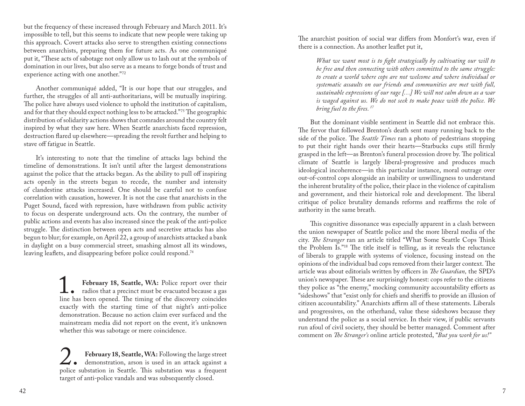but the frequency of these increased through February and March 2011. It's impossible to tell, but this seems to indicate that new people were taking up this approach. Covert attacks also serve to strengthen existing connections between anarchists, preparing them for future acts. As one communiqué put it, "These acts of sabotage not only allow us to lash out at the symbols of domination in our lives, but also serve as a means to forge bonds of trust and experience acting with one another."72

Another communiqué added, "It is our hope that our struggles, and further, the struggles of all anti-authoritarians, will be mutually inspiring. The police have always used violence to uphold the institution of capitalism, and for that they should expect nothing less to be attacked."75 The geographic distribution of solidarity actions shows that comrades around the country felt inspired by what they saw here. When Seattle anarchists faced repression, destruction flared up elsewhere—spreading the revolt further and helping to stave off fatigue in Seattle.

It's interesting to note that the timeline of attacks lags behind the timeline of demonstrations. It isn't until after the largest demonstrations against the police that the attacks began. As the ability to pull off inspiring acts openly in the streets began to recede, the number and intensity of clandestine attacks increased. One should be careful not to confuse correlation with causation, however. It is not the case that anarchists in the Puget Sound, faced with repression, have withdrawn from public activity to focus on desperate underground acts. On the contrary, the number of public actions and events has also increased since the peak of the anti-police struggle. The distinction between open acts and secretive attacks has also begun to blur; for example, on April 22, a group of anarchists attacked a bank in daylight on a busy commercial street, smashing almost all its windows, leaving leaflets, and disappearing before police could respond.<sup>74</sup>

> **1. February 18, Seattle, WA:** Police report over their radios that a precinct must be evacuated because a gas line has been opened. The timing of the discovery coincides radios that a precinct must be evacuated because a gas line has been opened. The timing of the discovery coincides exactly with the starting time of that night's anti-police demonstration. Because no action claim ever surfaced and the mainstream media did not report on the event, it's unknown whether this was sabotage or mere coincidence.

> **2. February 18, Seattle, WA:** Following the large street demonstration, arson is used in an attack against a police substation in Seattle. This substation was a frequent demonstration, arson is used in an attack against a police substation in Seattle. This substation was a frequent target of anti-police vandals and was subsequently closed.

The anarchist position of social war differs from Monfort's war, even if there is a connection. As another leaflet put it,

*What we want most is to fight strategically by cultivating our will to be free and then connecting with others committed to the same struggle: to create a world where cops are not welcome and where individual or systematic assaults on our friends and communities are met with full, sustainable expressions of our rage […] We will not calm down as a war is waged against us. We do not seek to make peace with the police. We bring fuel to the fires. 17*

But the dominant visible sentiment in Seattle did not embrace this. The fervor that followed Brenton's death sent many running back to the side of the police. The *Seattle Times* ran a photo of pedestrians stopping to put their right hands over their hearts—Starbucks cups still firmly grasped in the left—as Brenton's funeral procession drove by. The political climate of Seattle is largely liberal-progressive and produces much ideological incoherence—in this particular instance, moral outrage over out-of-control cops alongside an inability or unwillingness to understand the inherent brutality of the police, their place in the violence of capitalism and government, and their historical role and development. The liberal critique of police brutality demands reforms and reaffirms the role of authority in the same breath.

This cognitive dissonance was especially apparent in a clash between the union newspaper of Seattle police and the more liberal media of the city. *The Stranger* ran an article titled "What Some Seattle Cops Think the Problem Is."18 The title itself is telling, as it reveals the reluctance of liberals to grapple with systems of violence, focusing instead on the opinions of the individual bad cops removed from their larger context. The article was about editorials written by officers in *The Guardian,* the SPD's union's newspaper. These are surprisingly honest: cops refer to the citizens they police as "the enemy," mocking community accountability efforts as "sideshows" that "exist only for chiefs and sheriffs to provide an illusion of citizen accountability." Anarchists affirm all of these statements. Liberals and progressives, on the otherhand, value these sideshows because they understand the police as a social service. In their view, if public servants run afoul of civil society, they should be better managed. Comment after comment on *The Stranger's* online article protested, "*But you work for us!"*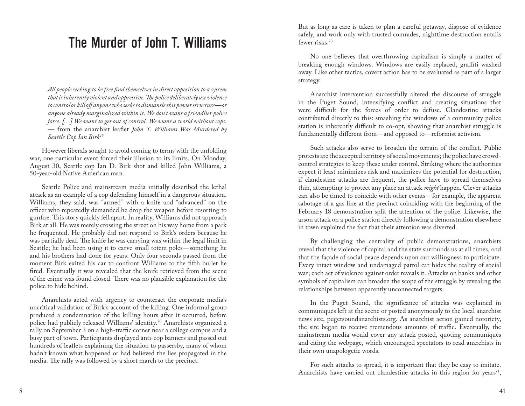#### The Murder of John T. Williams

*All people seeking to be free find themselves in direct opposition to a system that is inherently violent and oppressive. The police deliberately use violence to control or kill off anyone who seeks to dismantle this power structure—or anyone already marginalized within it. We don't want a friendlier police force. […] We want to get out of control. We want a world without cops.* — from the anarchist leaflet *John T. Williams Was Murdered by Seattle Cop Ian Birk19*

However liberals sought to avoid coming to terms with the unfolding war, one particular event forced their illusion to its limits. On Monday, August 30, Seattle cop Ian D. Birk shot and killed John Williams, a 50-year-old Native American man.

Seattle Police and mainstream media initially described the lethal attack as an example of a cop defending himself in a dangerous situation. Williams, they said, was "armed" with a knife and "advanced" on the officer who repeatedly demanded he drop the weapon before resorting to gunfire. This story quickly fell apart. In reality, Williams did not approach Birk at all. He was merely crossing the street on his way home from a park he frequented. He probably did not respond to Birk's orders because he was partially deaf. The knife he was carrying was within the legal limit in Seattle; he had been using it to carve small totem poles—something he and his brothers had done for years. Only four seconds passed from the moment Birk exited his car to confront Williams to the fifth bullet he fired. Eventually it was revealed that the knife retrieved from the scene of the crime was found closed. There was no plausible explanation for the police to hide behind.

Anarchists acted with urgency to counteract the corporate media's uncritical validation of Birk's account of the killing. One informal group produced a condemnation of the killing hours after it occurred, before police had publicly released Williams' identity.20 Anarchists organized a rally on September 3 on a high-traffic corner near a college campus and a busy part of town. Participants displayed anti-cop banners and passed out hundreds of leaflets explaining the situation to passersby, many of whom hadn't known what happened or had believed the lies propagated in the media. The rally was followed by a short march to the precinct.

But as long as care is taken to plan a careful getaway, dispose of evidence safely, and work only with trusted comrades, nighttime destruction entails fewer risks.70

No one believes that overthrowing capitalism is simply a matter of breaking enough windows. Windows are easily replaced, graffiti washed away. Like other tactics, covert action has to be evaluated as part of a larger strategy.

Anarchist intervention successfully altered the discourse of struggle in the Puget Sound, intensifying conflict and creating situations that were difficult for the forces of order to defuse. Clandestine attacks contributed directly to this: smashing the windows of a community police station is inherently difficult to co-opt, showing that anarchist struggle is fundamentally different from—and opposed to—reformist activism.

Such attacks also serve to broaden the terrain of the conflict. Public protests are the accepted territory of social movements; the police have crowdcontrol strategies to keep these under control. Striking where the authorities expect it least minimizes risk and maximizes the potential for destruction; if clandestine attacks are frequent, the police have to spread themselves thin, attempting to protect any place an attack *might* happen. Clever attacks can also be timed to coincide with other events—for example, the apparent sabotage of a gas line at the precinct coinciding with the beginning of the February 18 demonstration split the attention of the police. Likewise, the arson attack on a police station directly following a demonstration elsewhere in town exploited the fact that their attention was diverted.

By challenging the centrality of public demonstrations, anarchists reveal that the violence of capital and the state surrounds us at all times, and that the façade of social peace depends upon our willingness to participate. Every intact window and undamaged patrol car hides the reality of social war; each act of violence against order reveals it. Attacks on banks and other symbols of capitalism can broaden the scope of the struggle by revealing the relationships between apparently unconnected targets.

In the Puget Sound, the significance of attacks was explained in communiqués left at the scene or posted anonymously to the local anarchist news site, pugetsoundanarchists.org. As anarchist action gained notoriety, the site began to receive tremendous amounts of traffic. Eventually, the mainstream media would cover any attack posted, quoting communiqués and citing the webpage, which encouraged spectators to read anarchists in their own unapologetic words.

For such attacks to spread, it is important that they be easy to imitate. Anarchists have carried out clandestine attacks in this region for years<sup>71</sup>,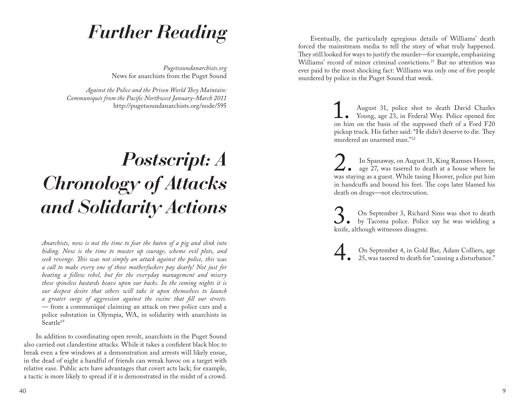# *Further Reading*

*Pugetsoundanarchists.org* News for anarchists from the Puget Sound

*Against the Police and the Prison World They Maintain: Communiqués from the Pacific Northwest January-March 2011* http://pugetsoundanarchists.org/node/595

# *Postscript: A Chronology of Attacks and Solidarity Actions*

*Anarchists, now is not the time to fear the baton of a pig and slink into hiding. Now is the time to muster up courage, scheme evil plots, and seek revenge. This was not simply an attack against the police, this was a call to make every one of those motherfuckers pay dearly! Not just for beating a fellow rebel, but for the everyday management and misery these spineless bastards heave upon our backs. In the coming nights it is our deepest desire that others will take it upon themselves to launch a greater surge of aggression against the swine that fill our streets.* — from a communiqué claiming an attack on two police cars and a police substation in Olympia, WA, in solidarity with anarchists in Seattle<sup>69</sup>

In addition to coordinating open revolt, anarchists in the Puget Sound also carried out clandestine attacks. While it takes a confident black bloc to break even a few windows at a demonstration and arrests will likely ensue, in the dead of night a handful of friends can wreak havoc on a target with relative ease. Public acts have advantages that covert acts lack; for example, a tactic is more likely to spread if it is demonstrated in the midst of a crowd.

Eventually, the particularly egregious details of Williams' death forced the mainstream media to tell the story of what truly happened. They still looked for ways to justify the murder—for example, emphasizing Williams' record of minor criminal convictions.<sup>21</sup> But no attention was ever paid to the most shocking fact: Williams was only one of five people murdered by police in the Puget Sound that week.

> August 31, police shot to death David Charles<br>Young, age 23, in Federal Way. Police opened fire<br>on him on the basis of the supposed theft of a Ford F20 Young, age 23, in Federal Way. Police opened fire on him on the basis of the supposed theft of a Ford F20 pickup truck. His father said: "He didn't deserve to die. They murdered an unarmed man."22

> In Spanaway, on August 31, King Ramses Hoover, age 27, was tasered to death at a house where he was staying as a guest. While tasing Hoover, police put him age 27, was tasered to death at a house where he was staying as a guest. While tasing Hoover, police put him in handcuffs and bound his feet. The cops later blamed his death on drugs—not electrocution.

> Som September 3, Richard Sims was shot to death by Tacoma police. Police say he was wielding a knife, although witnesses disagree. by Tacoma police. Police say he was wielding a knife, although witnesses disagree.

> On September 4, in Gold Bar, Adam Colliers, age 25, was tasered to death for "causing a disturbance." 25, was tasered to death for "causing a disturbance."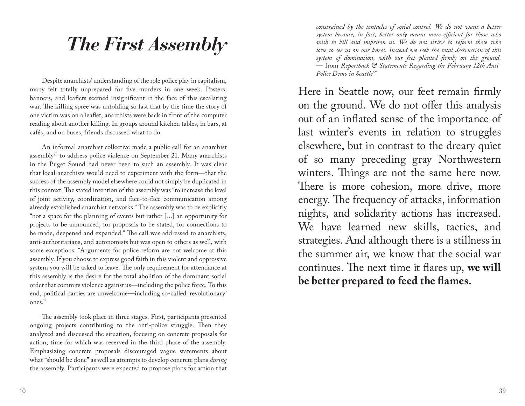## *The First Assembly*

Despite anarchists' understanding of the role police play in capitalism, many felt totally unprepared for five murders in one week. Posters, banners, and leaflets seemed insignificant in the face of this escalating war. The killing spree was unfolding so fast that by the time the story of one victim was on a leaflet, anarchists were back in front of the computer reading about another killing. In groups around kitchen tables, in bars, at cafés, and on buses, friends discussed what to do.

An informal anarchist collective made a public call for an anarchist assembly<sup>23</sup> to address police violence on September 21. Many anarchists in the Puget Sound had never been to such an assembly. It was clear that local anarchists would need to experiment with the form—that the success of the assembly model elsewhere could not simply be duplicated in this context. The stated intention of the assembly was "to increase the level of joint activity, coordination, and face-to-face communication among already established anarchist networks." The assembly was to be explicitly "not a space for the planning of events but rather […] an opportunity for projects to be announced, for proposals to be stated, for connections to be made, deepened and expanded." The call was addressed to anarchists, anti-authoritarians, and autonomists but was open to others as well, with some exceptions: "Arguments for police reform are not welcome at this assembly. If you choose to express good faith in this violent and oppressive system you will be asked to leave. The only requirement for attendance at this assembly is the desire for the total abolition of the dominant social order that commits violence against us—including the police force. To this end, political parties are unwelcome—including so-called 'revolutionary' ones."

The assembly took place in three stages. First, participants presented ongoing projects contributing to the anti-police struggle. Then they analyzed and discussed the situation, focusing on concrete proposals for action, time for which was reserved in the third phase of the assembly. Emphasizing concrete proposals discouraged vague statements about what "should be done" as well as attempts to develop concrete plans *during*  the assembly. Participants were expected to propose plans for action that

*constrained by the tentacles of social control. We do not want a better system because, in fact, better only means more efficient for those who wish to kill and imprison us. We do not strive to reform those who love to see us on our knees. Instead we seek the total destruction of this system of domination, with our feet planted firmly on the ground.* — from *Reportback & Statements Regarding the February 12th Anti-Police Demo in Seattle68*

Here in Seattle now, our feet remain firmly on the ground. We do not offer this analysis out of an inflated sense of the importance of last winter's events in relation to struggles elsewhere, but in contrast to the dreary quiet of so many preceding gray Northwestern winters. Things are not the same here now. There is more cohesion, more drive, more energy. The frequency of attacks, information nights, and solidarity actions has increased. We have learned new skills, tactics, and strategies. And although there is a stillness in the summer air, we know that the social war continues. The next time it flares up, **we will be better prepared to feed the flames.**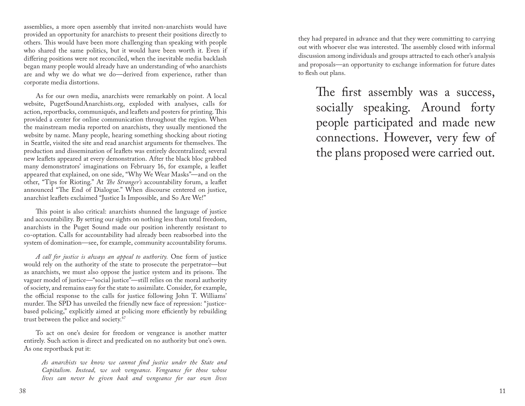assemblies, a more open assembly that invited non-anarchists would have provided an opportunity for anarchists to present their positions directly to others. This would have been more challenging than speaking with people who shared the same politics, but it would have been worth it. Even if differing positions were not reconciled, when the inevitable media backlash began many people would already have an understanding of who anarchists are and why we do what we do—derived from experience, rather than corporate media distortions.

As for our own media, anarchists were remarkably on point. A local website, PugetSoundAnarchists.org, exploded with analyses, calls for action, reportbacks, communiqués, and leaflets and posters for printing. This provided a center for online communication throughout the region. When the mainstream media reported on anarchists, they usually mentioned the website by name. Many people, hearing something shocking about rioting in Seattle, visited the site and read anarchist arguments for themselves. The production and dissemination of leaflets was entirely decentralized; several new leaflets appeared at every demonstration. After the black bloc grabbed many demonstrators' imaginations on February 16, for example, a leaflet appeared that explained, on one side, "Why We Wear Masks"—and on the other, "Tips for Rioting." At *The Stranger's* accountability forum, a leaflet announced "The End of Dialogue." When discourse centered on justice, anarchist leaflets exclaimed "Justice Is Impossible, and So Are We!"

This point is also critical: anarchists shunned the language of justice and accountability. By setting our sights on nothing less than total freedom, anarchists in the Puget Sound made our position inherently resistant to co-optation. Calls for accountability had already been reabsorbed into the system of domination—see, for example, community accountability forums.

*A call for justice is always an appeal to authority.* One form of justice would rely on the authority of the state to prosecute the perpetrator—but as anarchists, we must also oppose the justice system and its prisons. The vaguer model of justice—"social justice"—still relies on the moral authority of society, and remains easy for the state to assimilate. Consider, for example, the official response to the calls for justice following John T. Williams' murder. The SPD has unveiled the friendly new face of repression: "justicebased policing," explicitly aimed at policing more efficiently by rebuilding trust between the police and society.67

To act on one's desire for freedom or vengeance is another matter entirely. Such action is direct and predicated on no authority but one's own. As one reportback put it:

*As anarchists we know we cannot find justice under the State and Capitalism. Instead, we seek vengeance. Vengeance for those whose lives can never be given back and vengeance for our own lives* 

they had prepared in advance and that they were committing to carrying out with whoever else was interested. The assembly closed with informal discussion among individuals and groups attracted to each other's analysis and proposals—an opportunity to exchange information for future dates to flesh out plans.

The first assembly was a success, socially speaking. Around forty people participated and made new connections. However, very few of the plans proposed were carried out.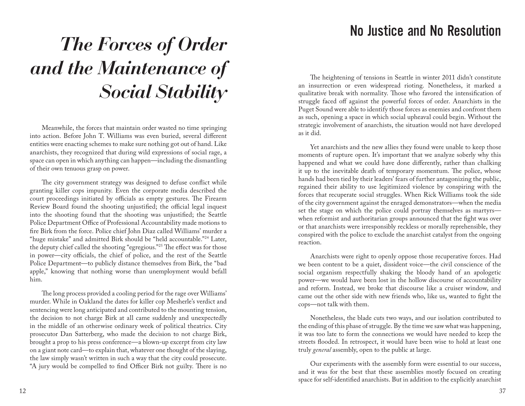#### No Justice and No Resolution

# *The Forces of Order and the Maintenance of Social Stability*

Meanwhile, the forces that maintain order wasted no time springing into action. Before John T. Williams was even buried, several different entities were enacting schemes to make sure nothing got out of hand. Like anarchists, they recognized that during wild expressions of social rage, a space can open in which anything can happen—including the dismantling of their own tenuous grasp on power.

The city government strategy was designed to defuse conflict while granting killer cops impunity. Even the corporate media described the court proceedings initiated by officials as empty gestures. The Firearm Review Board found the shooting unjustified; the official legal inquest into the shooting found that the shooting was unjustified; the Seattle Police Department Office of Professional Accountability made motions to fire Birk from the force. Police chief John Diaz called Williams' murder a "huge mistake" and admitted Birk should be "held accountable."24 Later, the deputy chief called the shooting "egregious."25 The effect was for those in power—city officials, the chief of police, and the rest of the Seattle Police Department—to publicly distance themselves from Birk, the "bad apple," knowing that nothing worse than unemployment would befall him.

The long process provided a cooling period for the rage over Williams' murder. While in Oakland the dates for killer cop Mesherle's verdict and sentencing were long anticipated and contributed to the mounting tension, the decision to not charge Birk at all came suddenly and unexpectedly in the middle of an otherwise ordinary week of political theatrics. City prosecutor Dan Satterberg, who made the decision to not charge Birk, brought a prop to his press conference—a blown-up excerpt from city law on a giant note card—to explain that, whatever one thought of the slaying, the law simply wasn't written in such a way that the city could prosecute. "A jury would be compelled to find Officer Birk not guilty. There is no

The heightening of tensions in Seattle in winter 2011 didn't constitute an insurrection or even widespread rioting. Nonetheless, it marked a qualitative break with normality. Those who favored the intensification of struggle faced off against the powerful forces of order. Anarchists in the Puget Sound were able to identify those forces as enemies and confront them as such, opening a space in which social upheaval could begin. Without the strategic involvement of anarchists, the situation would not have developed as it did.

Yet anarchists and the new allies they found were unable to keep those moments of rupture open. It's important that we analyze soberly why this happened and what we could have done differently, rather than chalking it up to the inevitable death of temporary momentum. The police, whose hands had been tied by their leaders' fears of further antagonizing the public, regained their ability to use legitimized violence by conspiring with the forces that recuperate social struggles. When Rick Williams took the side of the city government against the enraged demonstrators—when the media set the stage on which the police could portray themselves as martyrs when reformist and authoritarian groups announced that the fight was over or that anarchists were irresponsibly reckless or morally reprehensible, they conspired with the police to exclude the anarchist catalyst from the ongoing reaction.

Anarchists were right to openly oppose those recuperative forces. Had we been content to be a quiet, dissident voice—the civil conscience of the social organism respectfully shaking the bloody hand of an apologetic power—we would have been lost in the hollow discourse of accountability and reform. Instead, we broke that discourse like a cruiser window, and came out the other side with new friends who, like us, wanted to fight the cops—not talk with them.

Nonetheless, the blade cuts two ways, and our isolation contributed to the ending of this phase of struggle. By the time we saw what was happening, it was too late to form the connections we would have needed to keep the streets flooded. In retrospect, it would have been wise to hold at least one truly *general* assembly, open to the public at large.

Our experiments with the assembly form were essential to our success, and it was for the best that these assemblies mostly focused on creating space for self-identified anarchists. But in addition to the explicitly anarchist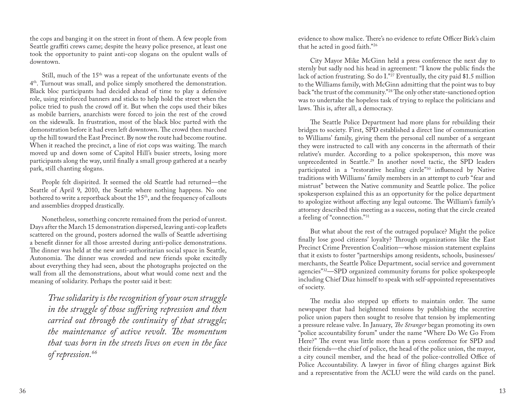the cops and banging it on the street in front of them. A few people from Seattle graffiti crews came; despite the heavy police presence, at least one took the opportunity to paint anti-cop slogans on the opulent walls of downtown.

Still, much of the 15th was a repeat of the unfortunate events of the 4th. Turnout was small, and police simply smothered the demonstration. Black bloc participants had decided ahead of time to play a defensive role, using reinforced banners and sticks to help hold the street when the police tried to push the crowd off it. But when the cops used their bikes as mobile barriers, anarchists were forced to join the rest of the crowd on the sidewalk. In frustration, most of the black bloc parted with the demonstration before it had even left downtown. The crowd then marched up the hill toward the East Precinct. By now the route had become routine. When it reached the precinct, a line of riot cops was waiting. The march moved up and down some of Capitol Hill's busier streets, losing more participants along the way, until finally a small group gathered at a nearby park, still chanting slogans.

People felt dispirited. It seemed the old Seattle had returned—the Seattle of April 9, 2010, the Seattle where nothing happens. No one bothered to write a reportback about the  $15<sup>th</sup>$ , and the frequency of callouts and assemblies dropped drastically.

Nonetheless, something concrete remained from the period of unrest. Days after the March 15 demonstration dispersed, leaving anti-cop leaflets scattered on the ground, posters adorned the walls of Seattle advertising a benefit dinner for all those arrested during anti-police demonstrations. The dinner was held at the new anti-authoritarian social space in Seattle, Autonomia. The dinner was crowded and new friends spoke excitedly about everything they had seen, about the photographs projected on the wall from all the demonstrations, about what would come next and the meaning of solidarity. Perhaps the poster said it best:

*True solidarity is the recognition of your own struggle in the struggle of those suffering repression and then carried out through the continuity of that struggle; the maintenance of active revolt. The momentum that was born in the streets lives on even in the face of repression.66*

evidence to show malice. There's no evidence to refute Officer Birk's claim that he acted in good faith."26

City Mayor Mike McGinn held a press conference the next day to sternly but sadly nod his head in agreement: "I know the public finds the lack of action frustrating. So do I."27 Eventually, the city paid \$1.5 million to the Williams family, with McGinn admitting that the point was to buy back "the trust of the community."28 The only other state-sanctioned option was to undertake the hopeless task of trying to replace the politicians and laws. This is, after all, a democracy.

The Seattle Police Department had more plans for rebuilding their bridges to society. First, SPD established a direct line of communication to Williams' family, giving them the personal cell number of a sergeant they were instructed to call with any concerns in the aftermath of their relative's murder. According to a police spokesperson, this move was unprecedented in Seattle.<sup>29</sup> In another novel tactic, the SPD leaders participated in a "restorative healing circle"30 influenced by Native traditions with Williams' family members in an attempt to curb "fear and mistrust" between the Native community and Seattle police. The police spokesperson explained this as an opportunity for the police department to apologize without affecting any legal outcome. The William's family's attorney described this meeting as a success, noting that the circle created a feeling of "connection."31

But what about the rest of the outraged populace? Might the police finally lose good citizens' loyalty? Through organizations like the East Precinct Crime Prevention Coalition—whose mission statement explains that it exists to foster "partnerships among residents, schools, businesses/ merchants, the Seattle Police Department, social service and government agencies"32—SPD organized community forums for police spokespeople including Chief Diaz himself to speak with self-appointed representatives of society.

The media also stepped up efforts to maintain order. The same newspaper that had heightened tensions by publishing the secretive police union papers then sought to resolve that tension by implementing a pressure release valve. In January, *The Stranger* began promoting its own "police accountability forum" under the name "Where Do We Go From Here?" The event was little more than a press conference for SPD and their friends—the chief of police, the head of the police union, the mayor, a city council member, and the head of the police-controlled Office of Police Accountability. A lawyer in favor of filing charges against Birk and a representative from the ACLU were the wild cards on the panel.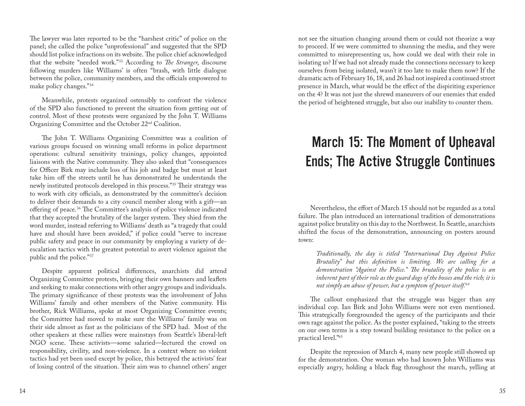The lawyer was later reported to be the "harshest critic" of police on the panel; she called the police "unprofessional" and suggested that the SPD should list police infractions on its website. The police chief acknowledged that the website "needed work."33 According to *The Stranger*, discourse following murders like Williams' is often "brash, with little dialogue between the police, community members, and the officials empowered to make policy changes."34

Meanwhile, protests organized ostensibly to confront the violence of the SPD also functioned to prevent the situation from getting out of control. Most of these protests were organized by the John T. Williams Organizing Committee and the October 22nd Coalition.

The John T. Williams Organizing Committee was a coalition of various groups focused on winning small reforms in police department operations: cultural sensitivity trainings, policy changes, appointed liaisons with the Native community. They also asked that "consequences for Officer Birk may include loss of his job and badge but must at least take him off the streets until he has demonstrated he understands the newly instituted protocols developed in this process."35 Their strategy was to work with city officials, as demonstrated by the committee's decision to deliver their demands to a city council member along with a gift—an offering of peace.36 The Committee's analysis of police violence indicated that they accepted the brutality of the larger system. They shied from the word murder, instead referring to Williams' death as "a tragedy that could have and should have been avoided," if police could "serve to increase public safety and peace in our community by employing a variety of deescalation tactics with the greatest potential to avert violence against the public and the police."37

Despite apparent political differences, anarchists did attend Organizing Committee protests, bringing their own banners and leaflets and seeking to make connections with other angry groups and individuals. The primary significance of these protests was the involvement of John Williams' family and other members of the Native community. His brother, Rick Williams, spoke at most Organizing Committee events; the Committee had moved to make sure the Williams' family was on their side almost as fast as the politicians of the SPD had. Most of the other speakers at these rallies were mainstays from Seattle's liberal-left NGO scene. These activists—some salaried—lectured the crowd on responsibility, civility, and non-violence. In a context where no violent tactics had yet been used except by police, this betrayed the activists' fear of losing control of the situation. Their aim was to channel others' anger

not see the situation changing around them or could not theorize a way to proceed. If we were committed to shunning the media, and they were committed to misrepresenting us, how could we deal with their role in isolating us? If we had not already made the connections necessary to keep ourselves from being isolated, wasn't it too late to make them now? If the dramatic acts of February 16, 18, and 26 had not inspired a continued street presence in March, what would be the effect of the dispiriting experience on the 4? It was not just the shrewd maneuvers of our enemies that ended the period of heightened struggle, but also our inability to counter them.

### March 15: The Moment of Upheaval Ends; The Active Struggle Continues

Nevertheless, the effort of March 15 should not be regarded as a total failure. The plan introduced an international tradition of demonstrations against police brutality on this day to the Northwest. In Seattle, anarchists shifted the focus of the demonstration, announcing on posters around town:

*Traditionally, the day is titled "International Day Against Police Brutality" but this definition is limiting. We are calling for a demonstration "Against the Police." The brutality of the police is an*  inherent part of their role as the guard dogs of the bosses and the rich; it is *not simply an abuse of power, but a symptom of power itself.64*

The callout emphasized that the struggle was bigger than any individual cop. Ian Birk and John Williams were not even mentioned. This strategically foregrounded the agency of the participants and their own rage against the police. As the poster explained, "taking to the streets on our own terms is a step toward building resistance to the police on a practical level."65

Despite the repression of March 4, many new people still showed up for the demonstration. One woman who had known John Williams was especially angry, holding a black flag throughout the march, yelling at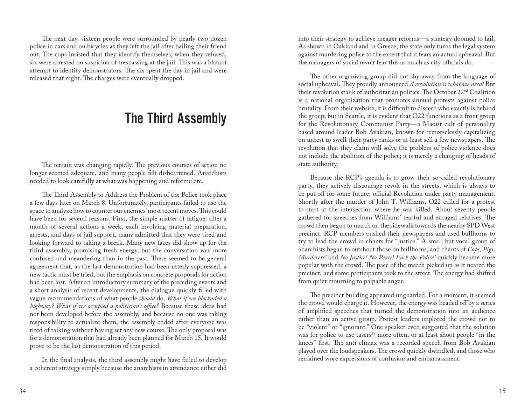The next day, sixteen people were surrounded by nearly two dozen police in cars and on bicycles as they left the jail after bailing their friend out. The cops insisted that they identify themselves; when they refused, six were arrested on suspicion of trespassing at the jail. This was a blatant attempt to identify demonstrators. The six spent the day in jail and were released that night. The charges were eventually dropped.

#### The Third Assembly

The terrain was changing rapidly. The previous courses of action no longer seemed adequate, and many people felt disheartened. Anarchists needed to look carefully at what was happening and reformulate.

The Third Assembly to Address the Problem of the Police took place a few days later on March 8. Unfortunately, participants failed to use the space to analyze how to counter our enemies' most recent moves. This could have been for several reasons. First, the simple matter of fatigue: after a month of several actions a week, each involving material preparation, arrests, and days of jail support, many admitted that they were tired and looking forward to taking a break. Many new faces did show up for the third assembly, promising fresh energy, but the conversation was more confused and meandering than in the past. There seemed to be general agreement that, as the last demonstration had been utterly suppressed, a new tactic must be tried, but the emphasis on concrete proposals for action had been lost. After an introductory summary of the preceding events and a short analysis of recent developments, the dialogue quickly filled with vague recommendations of what people *should* do. *What if we blockaded a highway? What if we occupied a politician's office?* Because these ideas had not been developed before the assembly, and because no one was taking responsibility to actualize them, the assembly ended after everyone was tired of talking without having set any new course. The only proposal was for a demonstration that had already been planned for March 15. It would prove to be the last demonstration of this period.

In the final analysis, the third assembly might have failed to develop a coherent strategy simply because the anarchists in attendance either did

into their strategy to achieve meager reforms—a strategy doomed to fail. As shown in Oakland and in Greece, the state only turns the legal system against murdering police to the extent that it fears an actual upheaval. But the managers of social revolt fear this as much as city officials do.

The other organizing group did not shy away from the language of social upheaval. They proudly announced *A revolution is what we need!* But their revolution stank of authoritarian politics. The October 22nd Coalition is a national organization that promotes annual protests against police brutality. From their website, it is difficult to discern who exactly is behind the group; but in Seattle, it is evident that O22 functions as a front group for the Revolutionary Communist Party—a Maoist cult of personality based around leader Bob Avakian, known for remorselessly capitalizing on unrest to swell their party ranks or at least sell a few newspapers. The revolution that they claim will solve the problem of police violence does not include the abolition of the police; it is merely a changing of heads of state authority.

Because the RCP's agenda is to grow their so-called revolutionary party, they actively discourage revolt in the streets, which is always to be put off for some future, official Revolution under party management. Shortly after the murder of John T. Williams, O22 called for a protest to start at the intersection where he was killed. About seventy people gathered for speeches from Williams' tearful and enraged relatives. The crowd then began to march on the sidewalk towards the nearby SPD West precinct. RCP members pushed their newspapers and used bullhorns to try to lead the crowd in chants for "justice." A small but vocal group of anarchists began to outshout those on bullhorns, and chants of *Cops, Pigs, Murderers!* and *No Justice! No Peace! Fuck the Police!* quickly became more popular with the crowd. The pace of the march picked up as it neared the precinct, and some participants took to the street. The energy had shifted from quiet mourning to palpable anger.

The precinct building appeared unguarded. For a moment, it seemed the crowd would charge it. However, the energy was headed off by a series of amplified speeches that turned the demonstration into an audience rather than an active group. Protest leaders implored the crowd not to be "violent" or "ignorant." One speaker even suggested that the solution was for police to use tasers<sup>38</sup> more often, or at least shoot people "in the knees" first. The anti-climax was a recorded speech from Bob Avakian played over the loudspeakers. The crowd quickly dwindled, and those who remained wore expressions of confusion and embarrassment.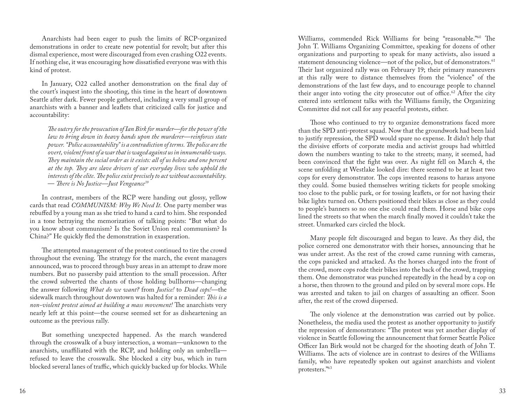Anarchists had been eager to push the limits of RCP-organized demonstrations in order to create new potential for revolt; but after this dismal experience, most were discouraged from even crashing O22 events. If nothing else, it was encouraging how dissatisfied everyone was with this kind of protest.

In January, O22 called another demonstration on the final day of the court's inquest into the shooting, this time in the heart of downtown Seattle after dark. Fewer people gathered, including a very small group of anarchists with a banner and leaflets that criticized calls for justice and accountability:

*The outcry for the prosecution of Ian Birk for murder—for the power of the law to bring down its heavy hands upon the murderer—reinforces state power. "Police accountability" is a contradiction of terms. The police are the overt, violent front of a war that is waged against us in innumerable ways. They maintain the social order as it exists: all of us below and one percent at the top. They are slave drivers of our everyday lives who uphold the interests of the elite. The police exist precisely to act without accountability.* — *There is No Justice—Just Vengeance39*

In contrast, members of the RCP were handing out glossy, yellow cards that read *COMMUNISM: Why We Need It.* One party member was rebuffed by a young man as she tried to hand a card to him. She responded in a tone betraying the memorization of talking points: "But what do you know about communism? Is the Soviet Union real communism? Is China?" He quickly fled the demonstration in exasperation.

The attempted management of the protest continued to tire the crowd throughout the evening. The strategy for the march, the event managers announced, was to proceed through busy areas in an attempt to draw more numbers. But no passersby paid attention to the small procession. After the crowd subverted the chants of those holding bullhorns—changing the answer following *What do we want?* from *Justice!* to *Dead cops!—*the sidewalk march throughout downtown was halted for a reminder: *This is a non-violent protest aimed at building a mass movement!* The anarchists very nearly left at this point—the course seemed set for as disheartening an outcome as the previous rally.

But something unexpected happened. As the march wandered through the crosswalk of a busy intersection, a woman—unknown to the anarchists, unaffiliated with the RCP, and holding only an umbrella refused to leave the crosswalk. She blocked a city bus, which in turn blocked several lanes of traffic, which quickly backed up for blocks. While

Williams, commended Rick Williams for being "reasonable."60 The John T. Williams Organizing Committee, speaking for dozens of other organizations and purporting to speak for many activists, also issued a statement denouncing violence—not of the police, but of demonstrators.<sup>61</sup> Their last organized rally was on February 19; their primary maneuvers at this rally were to distance themselves from the "violence" of the demonstrations of the last few days, and to encourage people to channel their anger into voting the city prosecutor out of office.<sup>62</sup> After the city entered into settlement talks with the Williams family, the Organizing Committee did not call for any peaceful protests, either.

Those who continued to try to organize demonstrations faced more than the SPD anti-protest squad. Now that the groundwork had been laid to justify repression, the SPD would spare no expense. It didn't help that the divisive efforts of corporate media and activist groups had whittled down the numbers wanting to take to the streets; many, it seemed, had been convinced that the fight was over. As night fell on March 4, the scene unfolding at Westlake looked dire: there seemed to be at least two cops for every demonstrator. The cops invented reasons to harass anyone they could. Some busied themselves writing tickets for people smoking too close to the public park, or for tossing leaflets, or for not having their bike lights turned on. Others positioned their bikes as close as they could to people's banners so no one else could read them. Horse and bike cops lined the streets so that when the march finally moved it couldn't take the street. Unmarked cars circled the block.

Many people felt discouraged and began to leave. As they did, the police cornered one demonstrator with their horses, announcing that he was under arrest. As the rest of the crowd came running with cameras, the cops panicked and attacked. As the horses charged into the front of the crowd, more cops rode their bikes into the back of the crowd, trapping them. One demonstrator was punched repeatedly in the head by a cop on a horse, then thrown to the ground and piled on by several more cops. He was arrested and taken to jail on charges of assaulting an officer. Soon after, the rest of the crowd dispersed.

The only violence at the demonstration was carried out by police. Nonetheless, the media used the protest as another opportunity to justify the repression of demonstrators: "The protest was yet another display of violence in Seattle following the announcement that former Seattle Police Officer Ian Birk would not be charged for the shooting death of John T. Williams. The acts of violence are in contrast to desires of the Williams family, who have repeatedly spoken out against anarchists and violent protesters."63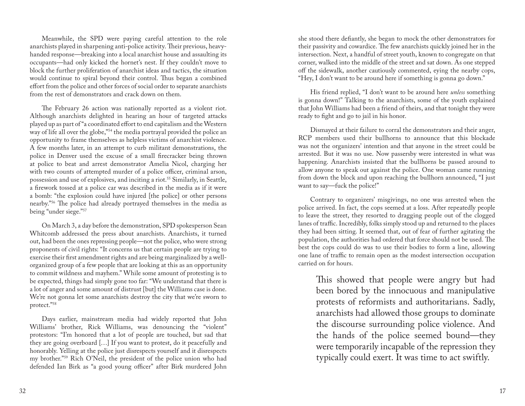Meanwhile, the SPD were paying careful attention to the role anarchists played in sharpening anti-police activity. Their previous, heavyhanded response—breaking into a local anarchist house and assaulting its occupants—had only kicked the hornet's nest. If they couldn't move to block the further proliferation of anarchist ideas and tactics, the situation would continue to spiral beyond their control. Thus began a combined effort from the police and other forces of social order to separate anarchists from the rest of demonstrators and crack down on them.

The February 26 action was nationally reported as a violent riot. Although anarchists delighted in hearing an hour of targeted attacks played up as part of "a coordinated effort to end capitalism and the Western way of life all over the globe,"<sup>54</sup> the media portrayal provided the police an opportunity to frame themselves as helpless victims of anarchist violence. A few months later, in an attempt to curb militant demonstrations, the police in Denver used the excuse of a small firecracker being thrown at police to beat and arrest demonstrator Amelia Nicol, charging her with two counts of attempted murder of a police officer, criminal arson, possession and use of explosives, and inciting a riot.55 Similarly, in Seattle, a firework tossed at a police car was described in the media as if it were a bomb: "the explosion could have injured [the police] or other persons nearby."56 The police had already portrayed themselves in the media as being "under siege."57

On March 3, a day before the demonstration, SPD spokesperson Sean Whitcomb addressed the press about anarchists. Anarchists, it turned out, had been the ones repressing people—not the police, who were strong proponents of civil rights: "It concerns us that certain people are trying to exercise their first amendment rights and are being marginalized by a wellorganized group of a few people that are looking at this as an opportunity to commit wildness and mayhem." While some amount of protesting is to be expected, things had simply gone too far: "We understand that there is a lot of anger and some amount of distrust [but] the Williams case is done. We're not gonna let some anarchists destroy the city that we're sworn to protect."58

Days earlier, mainstream media had widely reported that John Williams' brother, Rick Williams, was denouncing the "violent" protestors: "I'm honored that a lot of people are touched, but sad that they are going overboard […] If you want to protest, do it peacefully and honorably. Yelling at the police just disrespects yourself and it disrespects my brother."59 Rich O'Neil, the president of the police union who had defended Ian Birk as "a good young officer" after Birk murdered John

she stood there defiantly, she began to mock the other demonstrators for their passivity and cowardice. The few anarchists quickly joined her in the intersection. Next, a handful of street youth, known to congregate on that corner, walked into the middle of the street and sat down. As one stepped off the sidewalk, another cautiously commented, eying the nearby cops, "Hey, I don't want to be around here if something is gonna go down."

His friend replied, "I don't want to be around here *unless* something is gonna down!" Talking to the anarchists, some of the youth explained that John Williams had been a friend of theirs, and that tonight they were ready to fight and go to jail in his honor.

Dismayed at their failure to corral the demonstrators and their anger, RCP members used their bullhorns to announce that this blockade was not the organizers' intention and that anyone in the street could be arrested. But it was no use. Now passersby were interested in what was happening. Anarchists insisted that the bullhorns be passed around to allow anyone to speak out against the police. One woman came running from down the block and upon reaching the bullhorn announced, "I just want to say—fuck the police!"

Contrary to organizers' misgivings, no one was arrested when the police arrived. In fact, the cops seemed at a loss. After repeatedly people to leave the street, they resorted to dragging people out of the clogged lanes of traffic. Incredibly, folks simply stood up and returned to the places they had been sitting. It seemed that, out of fear of further agitating the population, the authorities had ordered that force should not be used. The best the cops could do was to use their bodies to form a line, allowing one lane of traffic to remain open as the modest intersection occupation carried on for hours.

This showed that people were angry but had been bored by the innocuous and manipulative protests of reformists and authoritarians. Sadly, anarchists had allowed those groups to dominate the discourse surrounding police violence. And the hands of the police seemed bound—they were temporarily incapable of the repression they typically could exert. It was time to act swiftly.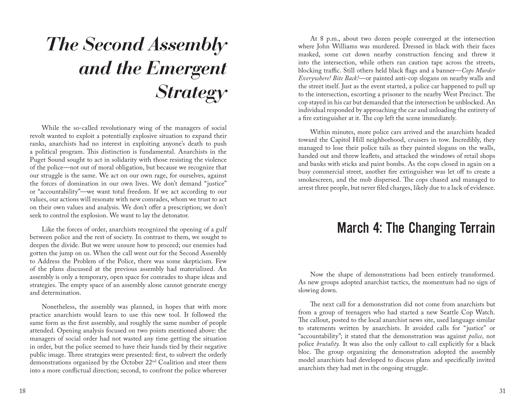# *The Second Assembly and the Emergent Strategy*

While the so-called revolutionary wing of the managers of social revolt wanted to exploit a potentially explosive situation to expand their ranks, anarchists had no interest in exploiting anyone's death to push a political program. This distinction is fundamental. Anarchists in the Puget Sound sought to act in solidarity with those resisting the violence of the police—not out of moral obligation, but because we recognize that our struggle is the same. We act on our own rage, for ourselves, against the forces of domination in our own lives. We don't demand "justice" or "accountability"—we want total freedom. If we act according to our values, our actions will resonate with new comrades, whom we trust to act on their own values and analysis. We don't offer a prescription; we don't seek to control the explosion. We want to lay the detonator.

Like the forces of order, anarchists recognized the opening of a gulf between police and the rest of society. In contrast to them, we sought to deepen the divide. But we were unsure how to proceed; our enemies had gotten the jump on us. When the call went out for the Second Assembly to Address the Problem of the Police, there was some skepticism. Few of the plans discussed at the previous assembly had materialized. An assembly is only a temporary, open space for comrades to shape ideas and strategies. The empty space of an assembly alone cannot generate energy and determination.

Nonetheless, the assembly was planned, in hopes that with more practice anarchists would learn to use this new tool. It followed the same form as the first assembly, and roughly the same number of people attended. Opening analysis focused on two points mentioned above: the managers of social order had not wasted any time getting the situation in order, but the police seemed to have their hands tied by their negative public image. Three strategies were presented: first, to subvert the orderly demonstrations organized by the October 22nd Coalition and steer them into a more conflictual direction; second, to confront the police wherever

At 8 p.m., about two dozen people converged at the intersection where John Williams was murdered. Dressed in black with their faces masked, some cut down nearby construction fencing and threw it into the intersection, while others ran caution tape across the streets, blocking traffic. Still others held black flags and a banner—*Cops Murder Everywhere! Bite Back!*—or painted anti-cop slogans on nearby walls and the street itself. Just as the event started, a police car happened to pull up to the intersection, escorting a prisoner to the nearby West Precinct. The cop stayed in his car but demanded that the intersection be unblocked. An individual responded by approaching the car and unloading the entirety of a fire extinguisher at it. The cop left the scene immediately.

Within minutes, more police cars arrived and the anarchists headed toward the Capitol Hill neighborhood, cruisers in tow. Incredibly, they managed to lose their police tails as they painted slogans on the walls, handed out and threw leaflets, and attacked the windows of retail shops and banks with sticks and paint bombs. As the cops closed in again on a busy commercial street, another fire extinguisher was let off to create a smokescreen, and the mob dispersed. The cops chased and managed to arrest three people, but never filed charges, likely due to a lack of evidence.

#### March 4: The Changing Terrain

Now the shape of demonstrations had been entirely transformed. As new groups adopted anarchist tactics, the momentum had no sign of slowing down.

The next call for a demonstration did not come from anarchists but from a group of teenagers who had started a new Seattle Cop Watch. The callout, posted to the local anarchist news site, used language similar to statements written by anarchists. It avoided calls for "justice" or "accountability"; it stated that the demonstration was against *police,* not police *brutality.* It was also the only callout to call explicitly for a black bloc. The group organizing the demonstration adopted the assembly model anarchists had developed to discuss plans and specifically invited anarchists they had met in the ongoing struggle.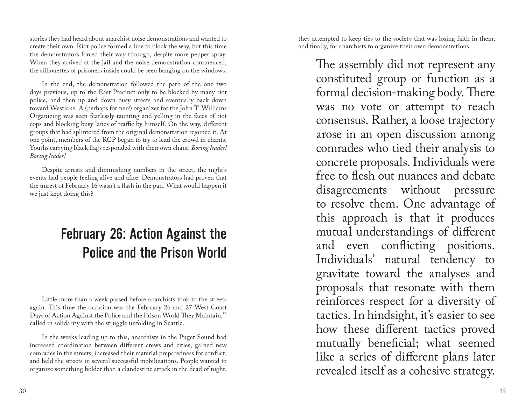stories they had heard about anarchist noise demonstrations and wanted to create their own. Riot police formed a line to block the way, but this time the demonstrators forced their way through, despite more pepper spray. When they arrived at the jail and the noise demonstration commenced, the silhouettes of prisoners inside could be seen banging on the windows.

In the end, the demonstration followed the path of the one two days previous, up to the East Precinct only to be blocked by many riot police, and then up and down busy streets and eventually back down toward Westlake. A (perhaps former?) organizer for the John T. Williams Organizing was seen fearlessly taunting and yelling in the faces of riot cops and blocking busy lanes of traffic by himself. On the way, different groups that had splintered from the original demonstration rejoined it. At one point, members of the RCP began to try to lead the crowd in chants. Youths carrying black flags responded with their own chant: *Boring leader! Boring leader!*

Despite arrests and diminishing numbers in the street, the night's events had people feeling alive and afire. Demonstrators had proven that the unrest of February 16 wasn't a flash in the pan. What would happen if we just kept doing this?

### February 26: Action Against the Police and the Prison World

Little more than a week passed before anarchists took to the streets again. This time the occasion was the February 26 and 27 West Coast Days of Action Against the Police and the Prison World They Maintain,<sup>53</sup> called in solidarity with the struggle unfolding in Seattle.

In the weeks leading up to this, anarchists in the Puget Sound had increased coordination between different crews and cities, gained new comrades in the streets, increased their material preparedness for conflict, and held the streets in several successful mobilizations. People wanted to organize something bolder than a clandestine attack in the dead of night.

they attempted to keep ties to the society that was losing faith in them; and finally, for anarchists to organize their own demonstrations.

The assembly did not represent any constituted group or function as a formal decision-making body. There was no vote or attempt to reach consensus. Rather, a loose trajectory arose in an open discussion among comrades who tied their analysis to concrete proposals. Individuals were free to flesh out nuances and debate disagreements without pressure to resolve them. One advantage of this approach is that it produces mutual understandings of different and even conflicting positions. Individuals' natural tendency to gravitate toward the analyses and proposals that resonate with them reinforces respect for a diversity of tactics. In hindsight, it's easier to see how these different tactics proved mutually beneficial; what seemed like a series of different plans later revealed itself as a cohesive strategy.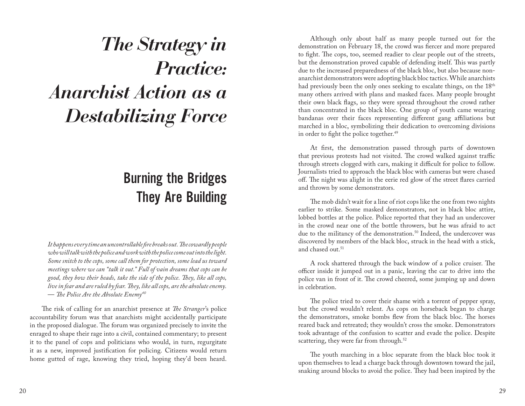# *The Strategy in Practice: Anarchist Action as a Destabilizing Force*

### Burning the Bridges They Are Building

*It happens every time an uncontrollable fire breaks out. The cowardly people who will talk with the police and work with the police come out into the light. Some snitch to the cops, some call them for protection, some lead us toward meetings where we can "talk it out." Full of vain dreams that cops can be good, they bow their heads, take the side of the police. They, like all cops, live in fear and are ruled by fear. They, like all cops, are the absolute enemy.*  — *The Police Are the Absolute Enemy40*

The risk of calling for an anarchist presence at *The Stranger*'s police accountability forum was that anarchists might accidentally participate in the proposed dialogue. The forum was organized precisely to invite the enraged to shape their rage into a civil, contained commentary; to present it to the panel of cops and politicians who would, in turn, regurgitate it as a new, improved justification for policing. Citizens would return home gutted of rage, knowing they tried, hoping they'd been heard.

Although only about half as many people turned out for the demonstration on February 18, the crowd was fiercer and more prepared to fight. The cops, too, seemed readier to clear people out of the streets, but the demonstration proved capable of defending itself. This was partly due to the increased preparedness of the black bloc, but also because nonanarchist demonstrators were adopting black bloc tactics. While anarchists had previously been the only ones seeking to escalate things, on the 18<sup>th</sup> many others arrived with plans and masked faces. Many people brought their own black flags, so they were spread throughout the crowd rather than concentrated in the black bloc. One group of youth came wearing bandanas over their faces representing different gang affiliations but marched in a bloc, symbolizing their dedication to overcoming divisions in order to fight the police together.<sup>49</sup>

At first, the demonstration passed through parts of downtown that previous protests had not visited. The crowd walked against traffic through streets clogged with cars, making it difficult for police to follow. Journalists tried to approach the black bloc with cameras but were chased off. The night was alight in the eerie red glow of the street flares carried and thrown by some demonstrators.

The mob didn't wait for a line of riot cops like the one from two nights earlier to strike. Some masked demonstrators, not in black bloc attire, lobbed bottles at the police. Police reported that they had an undercover in the crowd near one of the bottle throwers, but he was afraid to act due to the militancy of the demonstration.<sup>50</sup> Indeed, the undercover was discovered by members of the black bloc, struck in the head with a stick, and chased out.<sup>51</sup>

A rock shattered through the back window of a police cruiser. The officer inside it jumped out in a panic, leaving the car to drive into the police van in front of it. The crowd cheered, some jumping up and down in celebration.

The police tried to cover their shame with a torrent of pepper spray, but the crowd wouldn't relent. As cops on horseback began to charge the demonstrators, smoke bombs flew from the black bloc. The horses reared back and retreated; they wouldn't cross the smoke. Demonstrators took advantage of the confusion to scatter and evade the police. Despite scattering, they were far from through.<sup>52</sup>

The youth marching in a bloc separate from the black bloc took it upon themselves to lead a charge back through downtown toward the jail, snaking around blocks to avoid the police. They had been inspired by the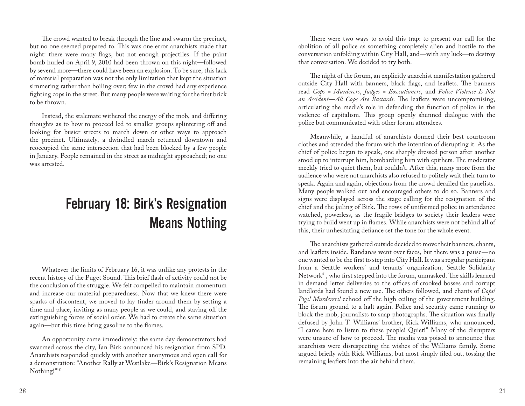The crowd wanted to break through the line and swarm the precinct, but no one seemed prepared to. This was one error anarchists made that night: there were many flags, but not enough projectiles. If the paint bomb hurled on April 9, 2010 had been thrown on this night—followed by several more—there could have been an explosion. To be sure, this lack of material preparation was not the only limitation that kept the situation simmering rather than boiling over; few in the crowd had any experience fighting cops in the street. But many people were waiting for the first brick to be thrown.

Instead, the stalemate withered the energy of the mob, and differing thoughts as to how to proceed led to smaller groups splintering off and looking for busier streets to march down or other ways to approach the precinct. Ultimately, a dwindled march returned downtown and reoccupied the same intersection that had been blocked by a few people in January. People remained in the street as midnight approached; no one was arrested.

### February 18: Birk's Resignation Means Nothing

Whatever the limits of February 16, it was unlike any protests in the recent history of the Puget Sound. This brief flash of activity could not be the conclusion of the struggle. We felt compelled to maintain momentum and increase our material preparedness. Now that we knew there were sparks of discontent, we moved to lay tinder around them by setting a time and place, inviting as many people as we could, and staving off the extinguishing forces of social order. We had to create the same situation again—but this time bring gasoline to the flames.

An opportunity came immediately: the same day demonstrators had swarmed across the city, Ian Birk announced his resignation from SPD. Anarchists responded quickly with another anonymous and open call for a demonstration: "Another Rally at Westlake—Birk's Resignation Means Nothing!"<sup>48</sup>

There were two ways to avoid this trap: to present our call for the abolition of all police as something completely alien and hostile to the conversation unfolding within City Hall, and—with any luck—to destroy that conversation. We decided to try both.

The night of the forum, an explicitly anarchist manifestation gathered outside City Hall with banners, black flags, and leaflets. The banners read *Cops = Murderers*, *Judges = Executioners*, and *Police Violence Is Not an Accident—All Cops Are Bastards*. The leaflets were uncompromising, articulating the media's role in defending the function of police in the violence of capitalism. This group openly shunned dialogue with the police but communicated with other forum attendees.

Meanwhile, a handful of anarchists donned their best courtroom clothes and attended the forum with the intention of disrupting it. As the chief of police began to speak, one sharply dressed person after another stood up to interrupt him, bombarding him with epithets. The moderator meekly tried to quiet them, but couldn't. After this, many more from the audience who were not anarchists also refused to politely wait their turn to speak. Again and again, objections from the crowd derailed the panelists. Many people walked out and encouraged others to do so. Banners and signs were displayed across the stage calling for the resignation of the chief and the jailing of Birk. The rows of uniformed police in attendance watched, powerless, as the fragile bridges to society their leaders were trying to build went up in flames. While anarchists were not behind all of this, their unhesitating defiance set the tone for the whole event.

The anarchists gathered outside decided to move their banners, chants, and leaflets inside. Bandanas went over faces, but there was a pause—no one wanted to be the first to step into City Hall. It was a regular participant from a Seattle workers' and tenants' organization, Seattle Solidarity Network<sup>41</sup>, who first stepped into the forum, unmasked. The skills learned in demand letter deliveries to the offices of crooked bosses and corrupt landlords had found a new use. The others followed, and chants of *Cops! Pigs! Murderers!* echoed off the high ceiling of the government building. The forum ground to a halt again. Police and security came running to block the mob, journalists to snap photographs. The situation was finally defused by John T. Williams' brother, Rick Williams, who announced, "I came here to listen to these people! Quiet!" Many of the disrupters were unsure of how to proceed. The media was poised to announce that anarchists were disrespecting the wishes of the Williams family. Some argued briefly with Rick Williams, but most simply filed out, tossing the remaining leaflets into the air behind them.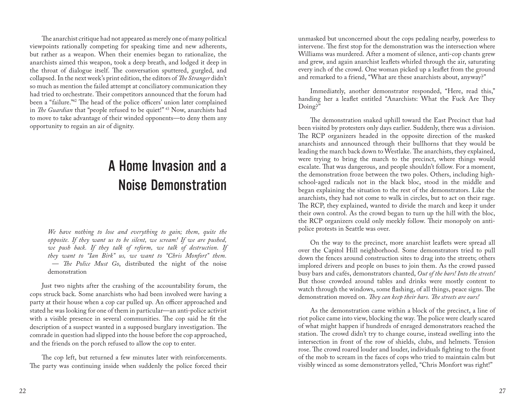The anarchist critique had not appeared as merely one of many political viewpoints rationally competing for speaking time and new adherents, but rather as a weapon. When their enemies began to rationalize, the anarchists aimed this weapon, took a deep breath, and lodged it deep in the throat of dialogue itself. The conversation sputtered, gurgled, and collapsed. In the next week's print edition, the editors of *The Stranger* didn't so much as mention the failed attempt at conciliatory communication they had tried to orchestrate. Their competitors announced that the forum had been a "failure."42 The head of the police officers' union later complained in *The Guardian* that "people refused to be quiet!" 43 Now, anarchists had to move to take advantage of their winded opponents—to deny them any opportunity to regain an air of dignity.

### A Home Invasion and a Noise Demonstration

*We have nothing to lose and everything to gain; them, quite the opposite. If they want us to be silent, we scream! If we are pushed, we push back. If they talk of reform, we talk of destruction. If they want to "Ian Birk" us, we want to "Chris Monfort" them.*  — *The Police Must Go*, distributed the night of the noise demonstration

Just two nights after the crashing of the accountability forum, the cops struck back. Some anarchists who had been involved were having a party at their house when a cop car pulled up. An officer approached and stated he was looking for one of them in particular—an anti-police activist with a visible presence in several communities. The cop said he fit the description of a suspect wanted in a supposed burglary investigation. The comrade in question had slipped into the house before the cop approached, and the friends on the porch refused to allow the cop to enter.

The cop left, but returned a few minutes later with reinforcements. The party was continuing inside when suddenly the police forced their

unmasked but unconcerned about the cops pedaling nearby, powerless to intervene. The first stop for the demonstration was the intersection where Williams was murdered. After a moment of silence, anti-cop chants grew and grew, and again anarchist leaflets whirled through the air, saturating every inch of the crowd. One woman picked up a leaflet from the ground and remarked to a friend, "What are these anarchists about, anyway?"

Immediately, another demonstrator responded, "Here, read this," handing her a leaflet entitled "Anarchists: What the Fuck Are They Doing?"

The demonstration snaked uphill toward the East Precinct that had been visited by protesters only days earlier. Suddenly, there was a division. The RCP organizers headed in the opposite direction of the masked anarchists and announced through their bullhorns that they would be leading the march back down to Westlake. The anarchists, they explained, were trying to bring the march to the precinct, where things would escalate. That was dangerous, and people shouldn't follow. For a moment, the demonstration froze between the two poles. Others, including highschool-aged radicals not in the black bloc, stood in the middle and began explaining the situation to the rest of the demonstrators. Like the anarchists, they had not come to walk in circles, but to act on their rage. The RCP, they explained, wanted to divide the march and keep it under their own control. As the crowd began to turn up the hill with the bloc, the RCP organizers could only meekly follow. Their monopoly on antipolice protests in Seattle was over.

On the way to the precinct, more anarchist leaflets were spread all over the Capitol Hill neighborhood. Some demonstrators tried to pull down the fences around construction sites to drag into the streets; others implored drivers and people on buses to join them. As the crowd passed busy bars and cafés, demonstrators chanted, *Out of the bars! Into the streets!*  But those crowded around tables and drinks were mostly content to watch through the windows, some flashing, of all things, peace signs. The demonstration moved on. *They can keep their bars. The streets are ours!*

As the demonstration came within a block of the precinct, a line of riot police came into view, blocking the way. The police were clearly scared of what might happen if hundreds of enraged demonstrators reached the station. The crowd didn't try to change course, instead swelling into the intersection in front of the row of shields, clubs, and helmets. Tension rose. The crowd roared louder and louder, individuals fighting to the front of the mob to scream in the faces of cops who tried to maintain calm but visibly winced as some demonstrators yelled, "Chris Monfort was right!"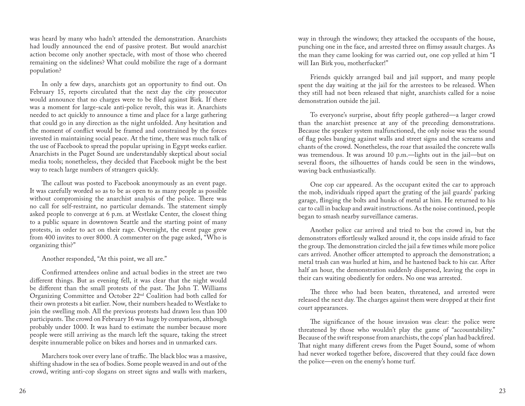was heard by many who hadn't attended the demonstration. Anarchists had loudly announced the end of passive protest. But would anarchist action become only another spectacle, with most of those who cheered remaining on the sidelines? What could mobilize the rage of a dormant population?

In only a few days, anarchists got an opportunity to find out. On February 15, reports circulated that the next day the city prosecutor would announce that no charges were to be filed against Birk. If there was a moment for large-scale anti-police revolt, this was it. Anarchists needed to act quickly to announce a time and place for a large gathering that could go in any direction as the night unfolded. Any hesitation and the moment of conflict would be framed and constrained by the forces invested in maintaining social peace. At the time, there was much talk of the use of Facebook to spread the popular uprising in Egypt weeks earlier. Anarchists in the Puget Sound are understandably skeptical about social media tools; nonetheless, they decided that Facebook might be the best way to reach large numbers of strangers quickly.

The callout was posted to Facebook anonymously as an event page. It was carefully worded so as to be as open to as many people as possible without compromising the anarchist analysis of the police. There was no call for self-restraint, no particular demands. The statement simply asked people to converge at 6 p.m. at Westlake Center, the closest thing to a public square in downtown Seattle and the starting point of many protests, in order to act on their rage. Overnight, the event page grew from 400 invites to over 8000. A commenter on the page asked, "Who is organizing this?"

Another responded, "At this point, we all are."

Confirmed attendees online and actual bodies in the street are two different things. But as evening fell, it was clear that the night would be different than the small protests of the past. The John T. Williams Organizing Committee and October 22nd Coalition had both called for their own protests a bit earlier. Now, their numbers headed to Westlake to join the swelling mob. All the previous protests had drawn less than 100 participants. The crowd on February 16 was huge by comparison, although probably under 1000. It was hard to estimate the number because more people were still arriving as the march left the square, taking the street despite innumerable police on bikes and horses and in unmarked cars.

Marchers took over every lane of traffic. The black bloc was a massive, shifting shadow in the sea of bodies. Some people weaved in and out of the crowd, writing anti-cop slogans on street signs and walls with markers,

way in through the windows; they attacked the occupants of the house, punching one in the face, and arrested three on flimsy assault charges. As the man they came looking for was carried out, one cop yelled at him "I will Ian Birk you, motherfucker!"

Friends quickly arranged bail and jail support, and many people spent the day waiting at the jail for the arrestees to be released. When they still had not been released that night, anarchists called for a noise demonstration outside the jail.

To everyone's surprise, about fifty people gathered—a larger crowd than the anarchist presence at any of the preceding demonstrations. Because the speaker system malfunctioned, the only noise was the sound of flag poles banging against walls and street signs and the screams and chants of the crowd. Nonetheless, the roar that assailed the concrete walls was tremendous. It was around 10 p.m.—lights out in the jail—but on several floors, the silhouettes of hands could be seen in the windows, waving back enthusiastically.

One cop car appeared. As the occupant exited the car to approach the mob, individuals ripped apart the grating of the jail guards' parking garage, flinging the bolts and hunks of metal at him. He returned to his car to call in backup and await instructions. As the noise continued, people began to smash nearby surveillance cameras.

Another police car arrived and tried to box the crowd in, but the demonstrators effortlessly walked around it, the cops inside afraid to face the group. The demonstration circled the jail a few times while more police cars arrived. Another officer attempted to approach the demonstration; a metal trash can was hurled at him, and he hastened back to his car. After half an hour, the demonstration suddenly dispersed, leaving the cops in their cars waiting obediently for orders. No one was arrested.

The three who had been beaten, threatened, and arrested were released the next day. The charges against them were dropped at their first court appearances.

The significance of the house invasion was clear: the police were threatened by those who wouldn't play the game of "accountability." Because of the swift response from anarchists, the cops' plan had backfired. That night many different crews from the Puget Sound, some of whom had never worked together before, discovered that they could face down the police—even on the enemy's home turf.